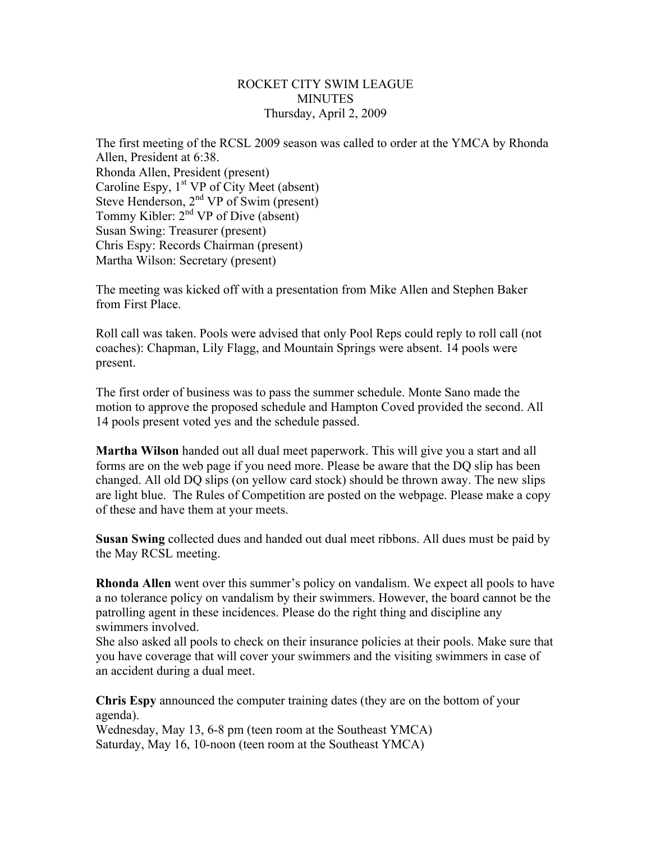## ROCKET CITY SWIM LEAGUE **MINUTES** Thursday, April 2, 2009

The first meeting of the RCSL 2009 season was called to order at the YMCA by Rhonda Allen, President at 6:38. Rhonda Allen, President (present) Caroline Espy,  $1<sup>st</sup> VP$  of City Meet (absent) Steve Henderson, 2<sup>nd</sup> VP of Swim (present) Tommy Kibler:  $2<sup>nd</sup> VP$  of Dive (absent) Susan Swing: Treasurer (present) Chris Espy: Records Chairman (present) Martha Wilson: Secretary (present)

The meeting was kicked off with a presentation from Mike Allen and Stephen Baker from First Place.

Roll call was taken. Pools were advised that only Pool Reps could reply to roll call (not coaches): Chapman, Lily Flagg, and Mountain Springs were absent. 14 pools were present.

The first order of business was to pass the summer schedule. Monte Sano made the motion to approve the proposed schedule and Hampton Coved provided the second. All 14 pools present voted yes and the schedule passed.

**Martha Wilson** handed out all dual meet paperwork. This will give you a start and all forms are on the web page if you need more. Please be aware that the DQ slip has been changed. All old DQ slips (on yellow card stock) should be thrown away. The new slips are light blue. The Rules of Competition are posted on the webpage. Please make a copy of these and have them at your meets.

**Susan Swing** collected dues and handed out dual meet ribbons. All dues must be paid by the May RCSL meeting.

**Rhonda Allen** went over this summer's policy on vandalism. We expect all pools to have a no tolerance policy on vandalism by their swimmers. However, the board cannot be the patrolling agent in these incidences. Please do the right thing and discipline any swimmers involved.

She also asked all pools to check on their insurance policies at their pools. Make sure that you have coverage that will cover your swimmers and the visiting swimmers in case of an accident during a dual meet.

**Chris Espy** announced the computer training dates (they are on the bottom of your agenda).

Wednesday, May 13, 6-8 pm (teen room at the Southeast YMCA) Saturday, May 16, 10-noon (teen room at the Southeast YMCA)